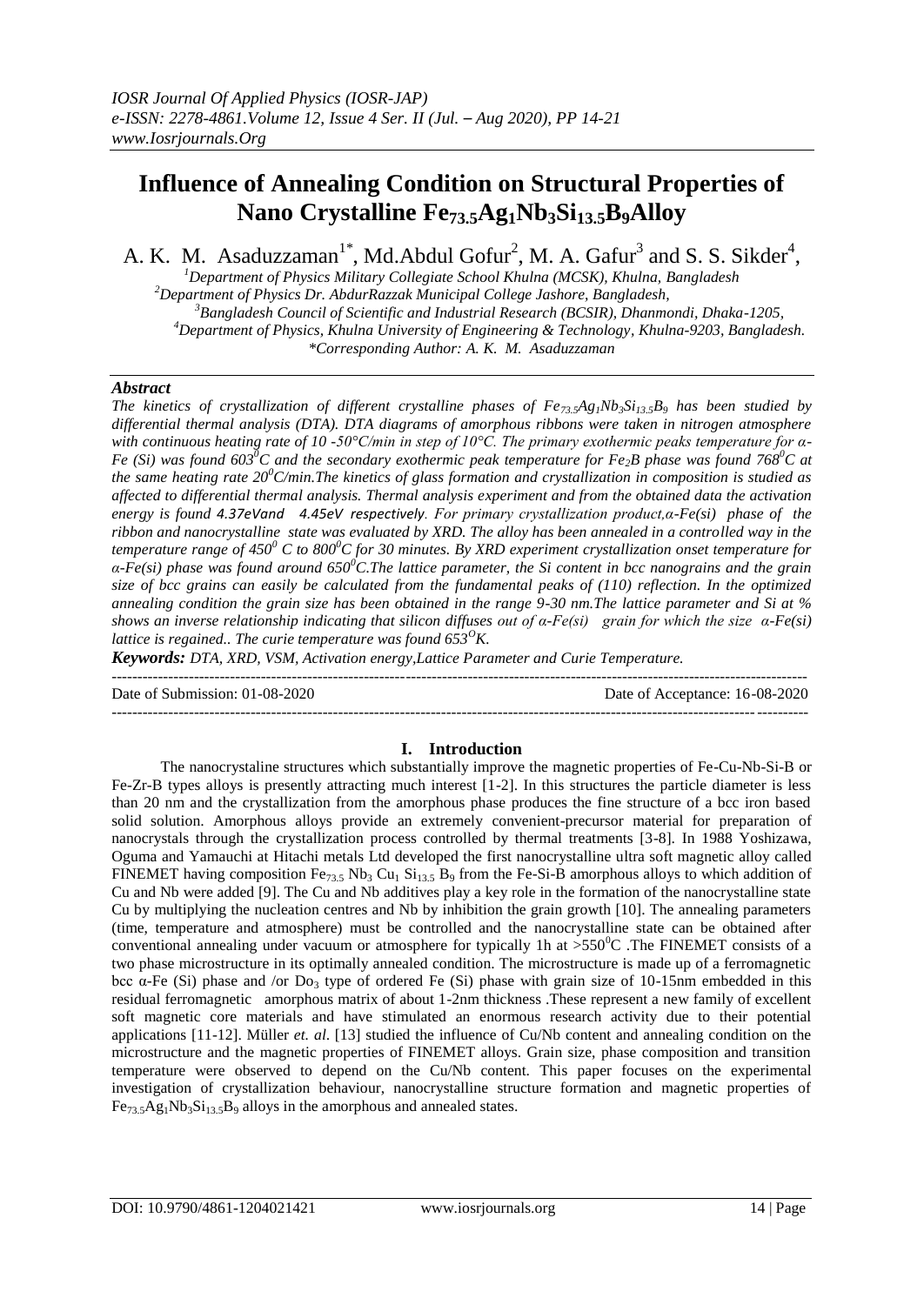## **Influence of Annealing Condition on Structural Properties of Nano Crystalline Fe73.5Ag1Nb3Si13.5B9Alloy**

A. K. M. Asaduzzaman<sup>1\*</sup>, Md.Abdul Gofur<sup>2</sup>, M. A. Gafur<sup>3</sup> and S. S. Sikder<sup>4</sup>,

*Department of Physics Military Collegiate School Khulna (MCSK), Khulna, Bangladesh Department of Physics Dr. AbdurRazzak Municipal College Jashore, Bangladesh, Bangladesh Council of Scientific and Industrial Research (BCSIR), Dhanmondi, Dhaka-1205, Department of Physics, Khulna University of Engineering & Technology, Khulna-9203, Bangladesh. \*Corresponding Author: A. K. M. Asaduzzaman*

## *Abstract*

*The kinetics of crystallization of different crystalline phases of*  $Fe_{73}$ *<i>s* $A_{8}$ *Nb*<sub>3</sub>*Si*<sub>13.5</sub>*B*<sub>9</sub> *has been studied by differential thermal analysis (DTA). DTA diagrams of amorphous ribbons were taken in nitrogen atmosphere with continuous heating rate of 10 -50°C/min in step of 10°C. The primary exothermic peaks temperature for α-Fe (Si) was found 603<sup>0</sup>C and the secondary exothermic peak temperature for Fe2B phase was found 768<sup>0</sup>C at the same heating rate 20<sup>0</sup>C/min.The kinetics of glass formation and crystallization in composition is studied as affected to differential thermal analysis. Thermal analysis experiment and from the obtained data the activation energy is found 4.37eVand 4.45eV respectively. For primary crystallization product,α-Fe(si) phase of the ribbon and nanocrystalline state was evaluated by XRD. The alloy has been annealed in a controlled way in the temperature range of 450<sup>0</sup> C to 800<sup>0</sup>C for 30 minutes. By XRD experiment crystallization onset temperature for α-Fe(si) phase was found around 650<sup>0</sup>C.The lattice parameter, the Si content in bcc nanograins and the grain size of bcc grains can easily be calculated from the fundamental peaks of (110) reflection. In the optimized annealing condition the grain size has been obtained in the range 9-30 nm.The lattice parameter and Si at % shows an inverse relationship indicating that silicon diffuses out of α-Fe(si) grain for which the size α-Fe(si) lattice is regained.. The curie temperature was found 653<sup>O</sup>K.*

*Keywords: DTA, XRD, VSM, Activation energy,Lattice Parameter and Curie Temperature.*

---------------------------------------------------------------------------------------------------------------------------------------

Date of Submission: 01-08-2020 Date of Acceptance: 16-08-2020

# **I. Introduction**

The nanocrystaline structures which substantially improve the magnetic properties of Fe-Cu-Nb-Si-B or Fe-Zr-B types alloys is presently attracting much interest [1-2]. In this structures the particle diameter is less than 20 nm and the crystallization from the amorphous phase produces the fine structure of a bcc iron based solid solution. Amorphous alloys provide an extremely convenient-precursor material for preparation of nanocrystals through the crystallization process controlled by thermal treatments [3-8]. In 1988 Yoshizawa, Oguma and Yamauchi at Hitachi metals Ltd developed the first nanocrystalline ultra soft magnetic alloy called FINEMET having composition Fe<sub>73.5</sub> Nb<sub>3</sub> Cu<sub>1</sub> Si<sub>13.5</sub> B<sub>9</sub> from the Fe-Si-B amorphous alloys to which addition of Cu and Nb were added [9]. The Cu and Nb additives play a key role in the formation of the nanocrystalline state Cu by multiplying the nucleation centres and Nb by inhibition the grain growth [10]. The annealing parameters (time, temperature and atmosphere) must be controlled and the nanocrystalline state can be obtained after conventional annealing under vacuum or atmosphere for typically 1h at  $>550^{\circ}$ C. The FINEMET consists of a two phase microstructure in its optimally annealed condition. The microstructure is made up of a ferromagnetic bcc α-Fe (Si) phase and /or Do<sub>3</sub> type of ordered Fe (Si) phase with grain size of 10-15nm embedded in this residual ferromagnetic amorphous matrix of about 1-2nm thickness .These represent a new family of excellent soft magnetic core materials and have stimulated an enormous research activity due to their potential applications [11-12]. Müller *et. al*. [13] studied the influence of Cu/Nb content and annealing condition on the microstructure and the magnetic properties of FINEMET alloys. Grain size, phase composition and transition temperature were observed to depend on the Cu/Nb content. This paper focuses on the experimental investigation of crystallization behaviour, nanocrystalline structure formation and magnetic properties of  $Fe_{73.5}Ag_1Nb_3Si_{13.5}B_9$  alloys in the amorphous and annealed states.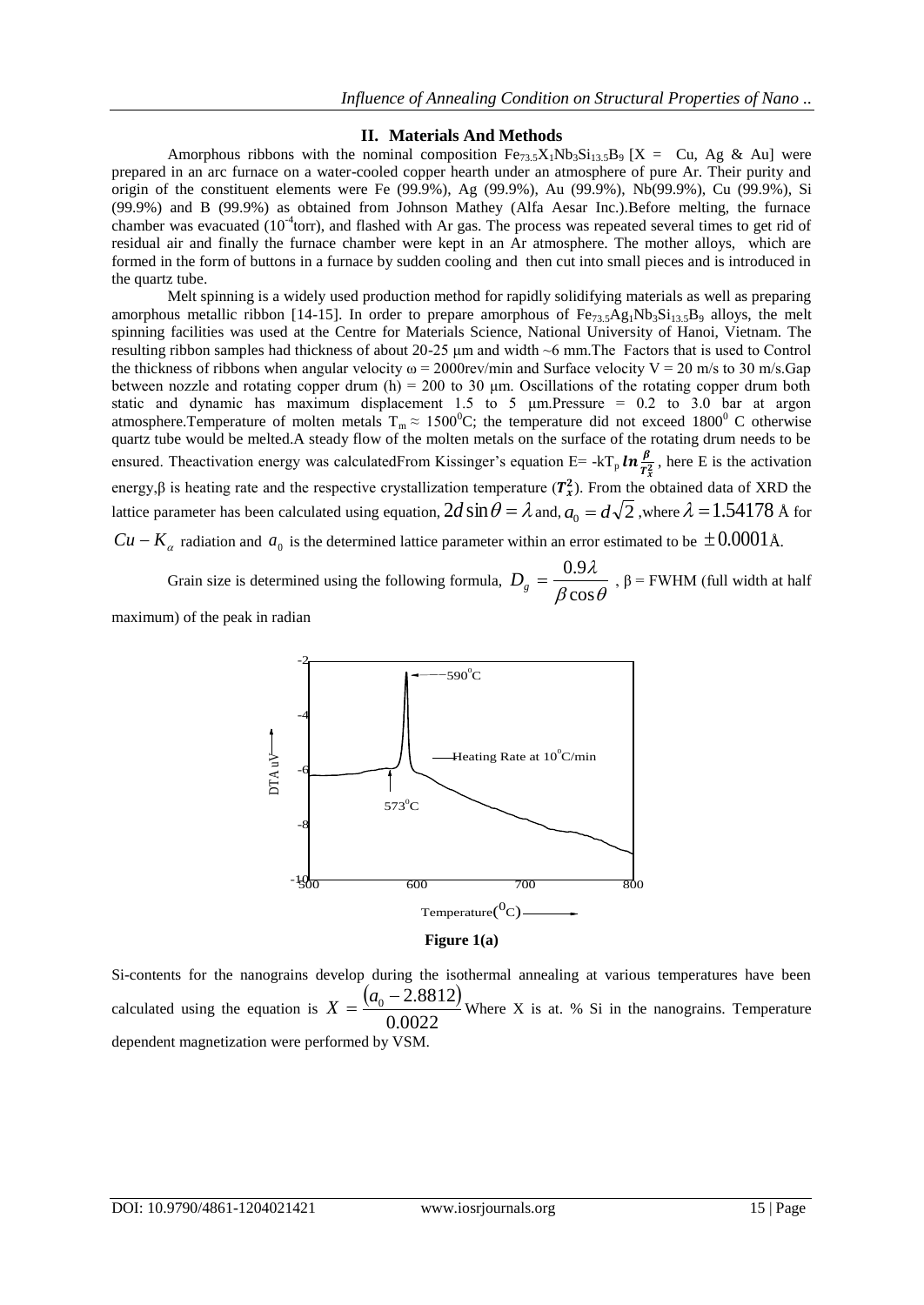## **II. Materials And Methods**

Amorphous ribbons with the nominal composition  $Fe_{73.5}X_1Nb_3Si_{13.5}B_9$  [X = Cu, Ag & Au] were prepared in an arc furnace on a water-cooled copper hearth under an atmosphere of pure Ar. Their purity and origin of the constituent elements were Fe (99.9%), Ag (99.9%), Au (99.9%), Nb(99.9%), Cu (99.9%), Si (99.9%) and B (99.9%) as obtained from Johnson Mathey (Alfa Aesar Inc.).Before melting, the furnace chamber was evacuated ( $10<sup>-4</sup>$ torr), and flashed with Ar gas. The process was repeated several times to get rid of residual air and finally the furnace chamber were kept in an Ar atmosphere. The mother alloys, which are formed in the form of buttons in a furnace by sudden cooling and then cut into small pieces and is introduced in the quartz tube.

Melt spinning is a widely used production method for rapidly solidifying materials as well as preparing amorphous metallic ribbon [14-15]. In order to prepare amorphous of  $Fe_{73.5}Ag_1Nb_3Si_{13.5}B_9$  alloys, the melt spinning facilities was used at the Centre for Materials Science, National University of Hanoi, Vietnam. The resulting ribbon samples had thickness of about 20-25 μm and width ~6 mm.The Factors that is used to Control the thickness of ribbons when angular velocity  $\omega = 2000$  rev/min and Surface velocity  $V = 20$  m/s to 30 m/s.Gap between nozzle and rotating copper drum (h) = 200 to 30  $\mu$ m. Oscillations of the rotating copper drum both static and dynamic has maximum displacement 1.5 to 5  $\mu$ m. Pressure = 0.2 to 3.0 bar at argon atmosphere.Temperature of molten metals  $T_m \approx 1500^{\circ}C$ ; the temperature did not exceed 1800<sup>°</sup> C otherwise quartz tube would be melted.A steady flow of the molten metals on the surface of the rotating drum needs to be ensured. Theactivation energy was calculatedFrom Kissinger's equation E= -kT<sub>p</sub>  $\ln \frac{\beta}{r}$  $\frac{P}{T_x^2}$ , here E is the activation energy, $\beta$  is heating rate and the respective crystallization temperature  $(T_x^2)$ . From the obtained data of XRD the lattice parameter has been calculated using equation,  $2d\sin\theta = \lambda$  and,  $a_0 = d\sqrt{2}$  ,where  $\lambda = 1.54178$  Å for  $Cu - K_{\alpha}$  radiation and  $a_0$  is the determined lattice parameter within an error estimated to be  $\pm 0.0001$  Å.

Grain size is determined using the following formula,  $\beta \cos \theta$ λ cos  $D_g = \frac{0.9\lambda}{0.000}$ ,  $\beta$  = FWHM (full width at half

maximum) of the peak in radian



Si-contents for the nanograins develop during the isothermal annealing at various temperatures have been calculated using the equation is  $X = \frac{(a_0 - 2.8812)}{8.88825}$  $X = \frac{(a_0 - 2.8812)}{2.00000}$  Where X is at. % Si in the nanograins. Temperature

0.0022 dependent magnetization were performed by VSM.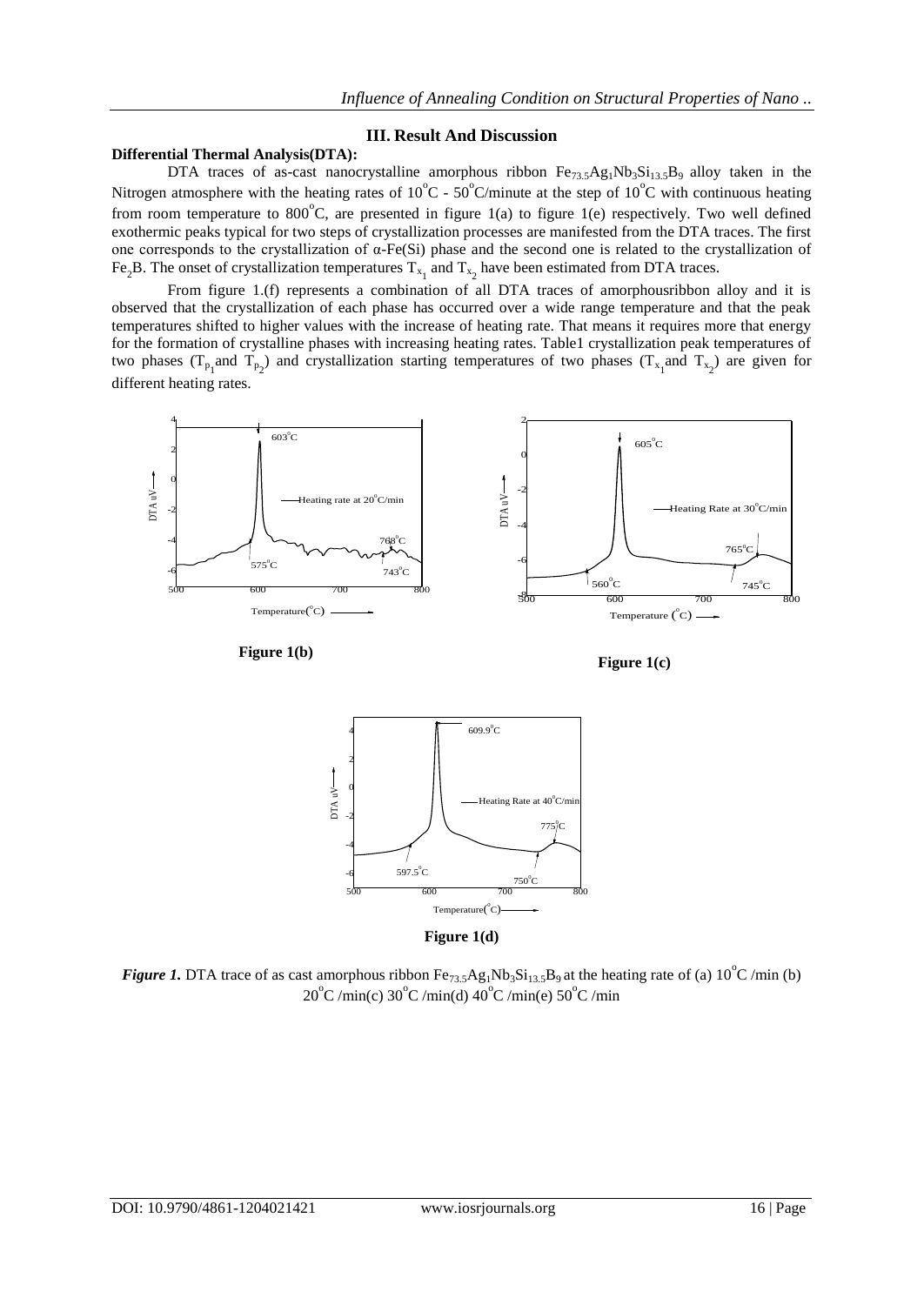## **III. Result And Discussion**

## **Differential Thermal Analysis(DTA):**

DTA traces of as-cast nanocrystalline amorphous ribbon  $Fe_{73.5}Ag_1Nb_3Si_{13.5}B_9$  alloy taken in the Nitrogen atmosphere with the heating rates of  $10^{\circ}$ C -  $50^{\circ}$ C/minute at the step of  $10^{\circ}$ C with continuous heating from room temperature to  $800^{\circ}$ C, are presented in figure 1(a) to figure 1(e) respectively. Two well defined exothermic peaks typical for two steps of crystallization processes are manifested from the DTA traces. The first one corresponds to the crystallization of α-Fe(Si) phase and the second one is related to the crystallization of Fe<sub>2</sub>B. The onset of crystallization temperatures  $T_{x_1}$  and  $T_{x_2}$  have been estimated from DTA traces.

From figure 1.(f) represents a combination of all DTA traces of amorphousribbon alloy and it is observed that the crystallization of each phase has occurred over a wide range temperature and that the peak temperatures shifted to higher values with the increase of heating rate. That means it requires more that energy for the formation of crystalline phases with increasing heating rates. Table1 crystallization peak temperatures of two phases ( $T_{p_1}$ and  $T_{p_2}$ ) and crystallization starting temperatures of two phases ( $T_{x_1}$ and  $T_{x_2}$ ) are given for different heating rates.



**Figure 1(b)**





**Figure 1(d)**

*Figure 1.* DTA trace of as cast amorphous ribbon  $Fe_{73.5}Ag_1Nb_3Si_{13.5}B_9$  at the heating rate of (a) 10<sup>°</sup>C/min (b)  $20^{\circ}$ C /min(c)  $30^{\circ}$ C /min(d)  $40^{\circ}$ C /min(e)  $50^{\circ}$ C /min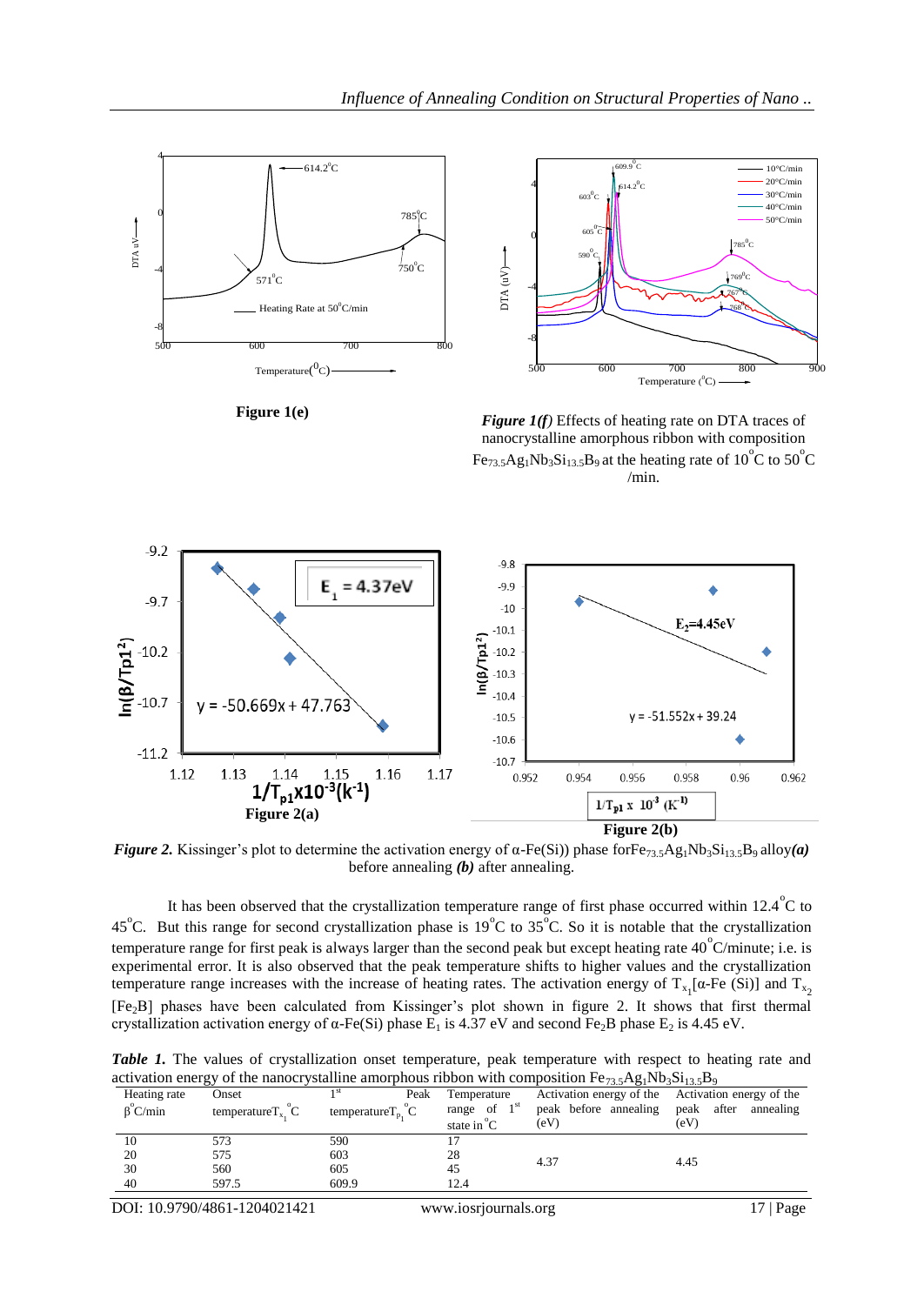



**Figure 1(e)**

*Figure 1(f)* Effects of heating rate on DTA traces of nanocrystalline amorphous ribbon with composition  $Fe_{73.5}Ag_1Nb_3Si_{13.5}B_9$  at the heating rate of 10<sup>°</sup>C to 50<sup>°</sup>C /min.



*Figure 2.* Kissinger's plot to determine the activation energy of  $\alpha$ -Fe(Si)) phase forFe<sub>73.5</sub>Ag<sub>1</sub>Nb<sub>3</sub>Si<sub>13.5</sub>B<sub>9</sub> alloy(*a*) before annealing *(b)* after annealing.

It has been observed that the crystallization temperature range of first phase occurred within 12.4  $\rm{°C}$  to 45<sup>°</sup>C. But this range for second crystallization phase is 19<sup>°</sup>C to 35<sup>°</sup>C. So it is notable that the crystallization temperature range for first peak is always larger than the second peak but except heating rate  $40^{\circ}$ C/minute; i.e. is experimental error. It is also observed that the peak temperature shifts to higher values and the crystallization temperature range increases with the increase of heating rates. The activation energy of  $T_{x_1}[\alpha$ -Fe (Si)] and  $T_{x_2}$ [Fe2B] phases have been calculated from Kissinger's plot shown in figure 2. It shows that first thermal crystallization activation energy of  $\alpha$ -Fe(Si) phase E<sub>1</sub> is 4.37 eV and second Fe<sub>2</sub>B phase E<sub>2</sub> is 4.45 eV.

*Table 1.* The values of crystallization onset temperature, peak temperature with respect to heating rate and activation energy of the nanocrystalline amorphous ribbon with composition  $Fe_{22}A_9$ ,  $Nb_2Si_{12}B_9$ 

| Heating rate          | Onset                                              | Peak                                                | Temperature           | $\mu$ and $\mu$ and $\mu$ and $\mu$ and $\mu$ and $\mu$ and $\mu$ and $\mu$ and $\mu$ and $\mu$ and $\mu$ and $\mu$ and $\mu$<br>Activation energy of the Activation energy of the |                      |
|-----------------------|----------------------------------------------------|-----------------------------------------------------|-----------------------|------------------------------------------------------------------------------------------------------------------------------------------------------------------------------------|----------------------|
| $\beta^{\circ}$ C/min | temperature $T_{x}$ <sup><math>\sim</math></sup> C | temperature $T_p$ <sup><math>\check{C}</math></sup> | range of $1st$        | peak before annealing                                                                                                                                                              | peak after annealing |
|                       |                                                    |                                                     | state in $\mathrm{C}$ | (eV)                                                                                                                                                                               | (eV)                 |
|                       | 573                                                | 590                                                 |                       |                                                                                                                                                                                    |                      |
| 20                    | 575                                                | 603                                                 | 28                    | 4.37                                                                                                                                                                               | 4.45                 |
| 30                    | 560                                                | 605                                                 | 45                    |                                                                                                                                                                                    |                      |
| 40                    | 597.5                                              | 609.9                                               | 12.4                  |                                                                                                                                                                                    |                      |
|                       |                                                    |                                                     |                       |                                                                                                                                                                                    |                      |

DOI: 10.9790/4861-1204021421 www.iosrjournals.org 17 | Page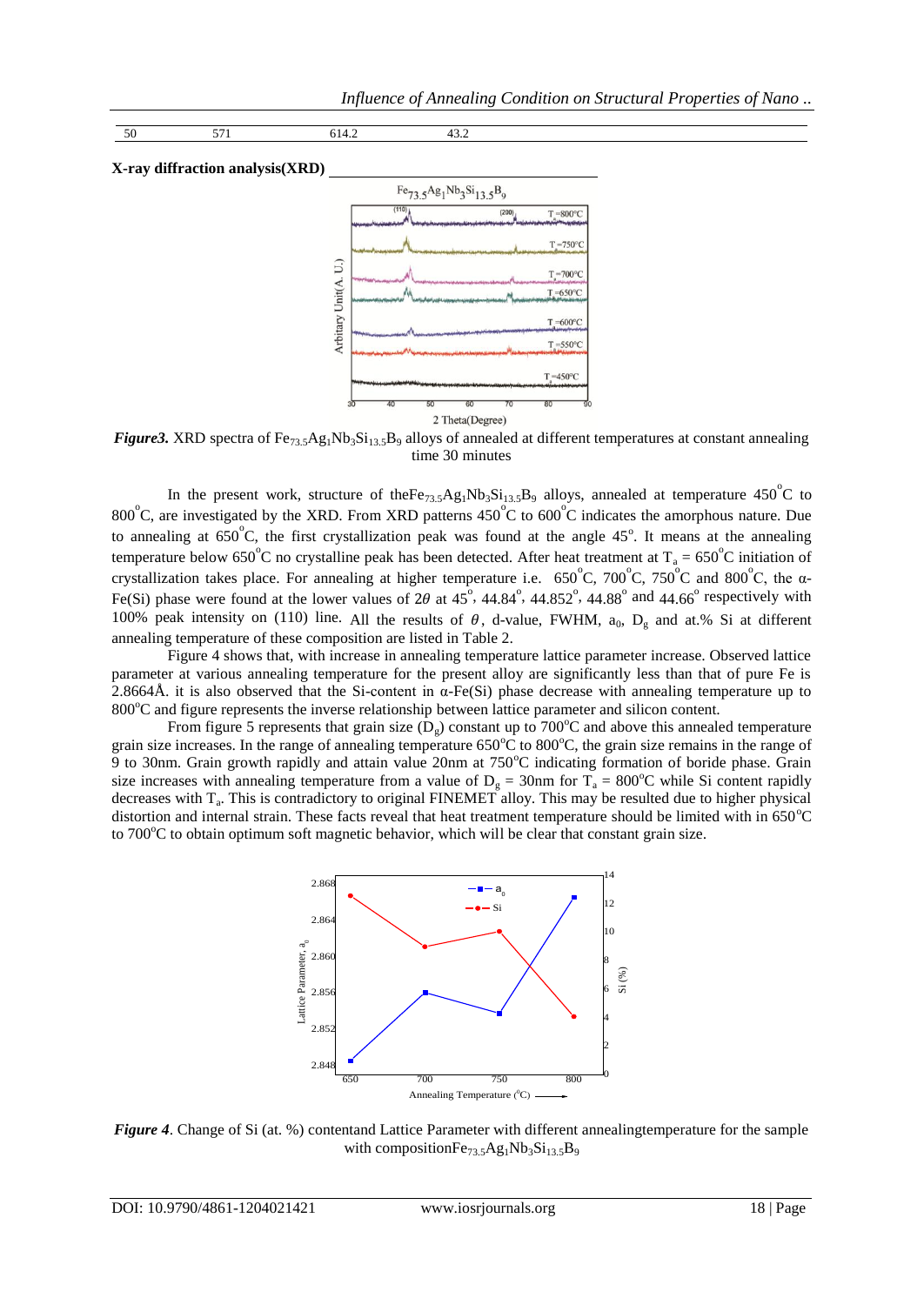```
50 571 614.2 43.2
```
#### **X-ray diffraction analysis(XRD)**



*Figure3.* XRD spectra of Fe<sub>73.5</sub>Ag<sub>1</sub>Nb<sub>3</sub>Si<sub>13.5</sub>B<sub>9</sub> alloys of annealed at different temperatures at constant annealing time 30 minutes

In the present work, structure of the  $Fe_{73.5}Ag_1Nb_3Si_{13.5}B_9$  alloys, annealed at temperature 450<sup>°</sup>C to 800°C, are investigated by the XRD. From XRD patterns 450°C to 600°C indicates the amorphous nature. Due to annealing at  $650^{\circ}$ C, the first crystallization peak was found at the angle  $45^{\circ}$ . It means at the annealing temperature below 650°C no crystalline peak has been detected. After heat treatment at  $T_a = 650^{\circ}$ C initiation of crystallization takes place. For annealing at higher temperature i.e.  $650^{\circ}$ C,  $700^{\circ}$ C,  $750^{\circ}$ C and  $800^{\circ}$ C, the  $\alpha$ -Fe(Si) phase were found at the lower values of 2 $\theta$  at 45°, 44.84°, 44.852°, 44.88° and 44.66° respectively with 100% peak intensity on (110) line. All the results of  $\theta$ , d-value, FWHM, a<sub>0</sub>, D<sub>g</sub> and at.% Si at different annealing temperature of these composition are listed in Table 2.

Figure 4 shows that, with increase in annealing temperature lattice parameter increase. Observed lattice parameter at various annealing temperature for the present alloy are significantly less than that of pure Fe is 2.8664Å. it is also observed that the Si-content in α-Fe(Si) phase decrease with annealing temperature up to  $800^{\circ}$ C and figure represents the inverse relationship between lattice parameter and silicon content.

From figure 5 represents that grain size  $(D<sub>e</sub>)$  constant up to 700<sup>o</sup>C and above this annealed temperature grain size increases. In the range of annealing temperature  $650^{\circ}$ C to  $800^{\circ}$ C, the grain size remains in the range of 9 to 30nm. Grain growth rapidly and attain value 20nm at 750°C indicating formation of boride phase. Grain size increases with annealing temperature from a value of  $D_g = 30$ nm for T<sub>a</sub> = 800°C while Si content rapidly decreases with T<sub>a</sub>. This is contradictory to original FINEMET alloy. This may be resulted due to higher physical distortion and internal strain. These facts reveal that heat treatment temperature should be limited with in 650°C to  $700^{\circ}$ C to obtain optimum soft magnetic behavior, which will be clear that constant grain size.



*Figure 4*. Change of Si (at. %) contentand Lattice Parameter with different annealingtemperature for the sample with composition $Fe_{73.5}Ag_1Nb_3Si_{13.5}B_9$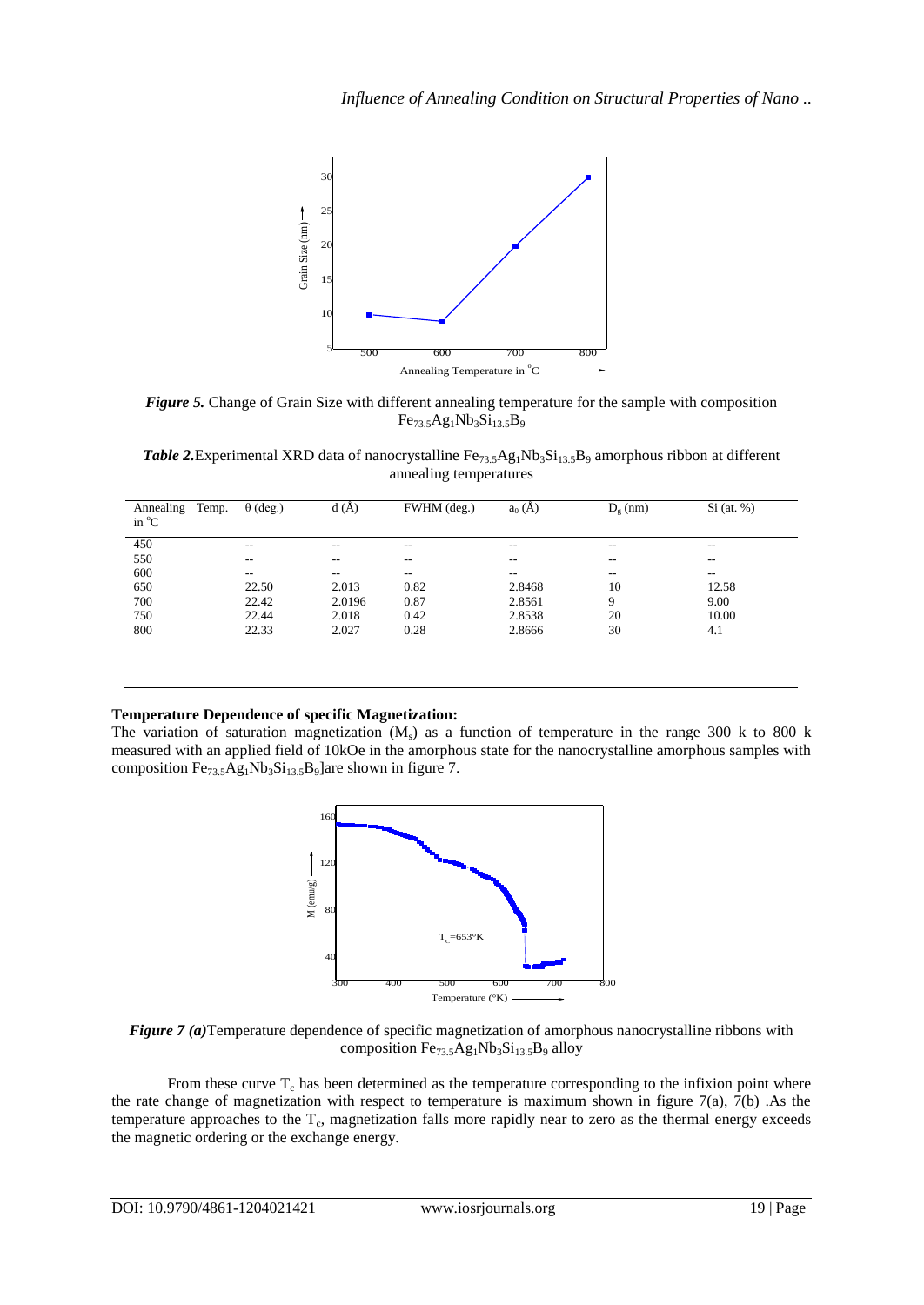

*Figure 5.* Change of Grain Size with different annealing temperature for the sample with composition  $Fe_{73.5}Ag_1Nb_3Si_{13.5}B_9$ 

Table 2.Experimental XRD data of nanocrystalline Fe<sub>73.5</sub>Ag<sub>1</sub>Nb<sub>3</sub>Si<sub>13.5</sub>B<sub>9</sub> amorphous ribbon at different annealing temperatures

| Temp.<br>Annealing<br>in $^{\circ}$ C | $\theta$ (deg.)          | d(A)                     | FWHM (deg.)       | $a_0(A)$                 | $D_e$ (nm)               | $Si$ (at. %)             |
|---------------------------------------|--------------------------|--------------------------|-------------------|--------------------------|--------------------------|--------------------------|
| 450                                   | $\overline{\phantom{m}}$ | --                       | $- -$             | $\overline{\phantom{m}}$ | $\overline{\phantom{m}}$ | --                       |
| 550                                   | $\overline{\phantom{m}}$ | --                       | $- -$             | $- -$                    | $- -$                    | $- -$                    |
| 600                                   | $- -$                    | $\overline{\phantom{a}}$ | $\qquad \qquad -$ | $\sim$ $\sim$            | $\overline{\phantom{m}}$ | $\overline{\phantom{a}}$ |
| 650                                   | 22.50                    | 2.013                    | 0.82              | 2.8468                   | 10                       | 12.58                    |
| 700                                   | 22.42                    | 2.0196                   | 0.87              | 2.8561                   | 9                        | 9.00                     |
| 750                                   | 22.44                    | 2.018                    | 0.42              | 2.8538                   | 20                       | 10.00                    |
| 800                                   | 22.33                    | 2.027                    | 0.28              | 2.8666                   | 30                       | 4.1                      |
|                                       |                          |                          |                   |                          |                          |                          |

## **Temperature Dependence of specific Magnetization:**

The variation of saturation magnetization  $(M_s)$  as a function of temperature in the range 300 k to 800 k measured with an applied field of 10kOe in the amorphous state for the nanocrystalline amorphous samples with composition  $Fe_{73.5}Ag_1Nb_3Si_{13.5}B_9$ ]are shown in figure 7.



*Figure 7 (a)*Temperature dependence of specific magnetization of amorphous nanocrystalline ribbons with composition  $Fe<sub>73.5</sub>Ag<sub>1</sub>Nb<sub>3</sub>Si<sub>13.5</sub>B<sub>9</sub>$  alloy

From these curve  $T_c$  has been determined as the temperature corresponding to the infixion point where the rate change of magnetization with respect to temperature is maximum shown in figure  $7(a)$ ,  $7(b)$ . As the temperature approaches to the  $T_c$ , magnetization falls more rapidly near to zero as the thermal energy exceeds the magnetic ordering or the exchange energy.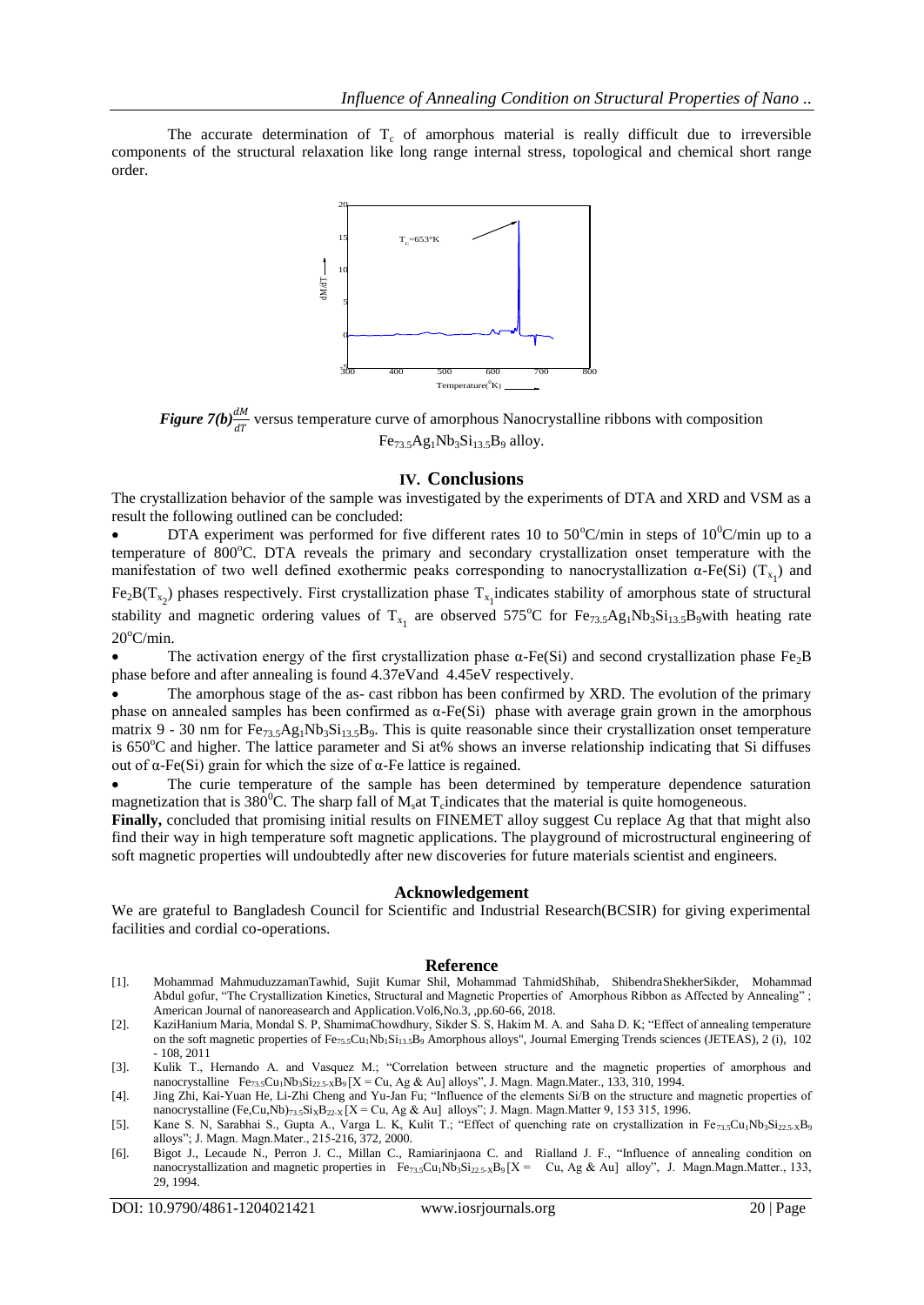The accurate determination of  $T_c$  of amorphous material is really difficult due to irreversible components of the structural relaxation like long range internal stress, topological and chemical short range order.



*Figure 7(b)* $\frac{dM}{dT}$  versus temperature curve of amorphous Nanocrystalline ribbons with composition  $Fe<sub>73.5</sub>Ag<sub>1</sub>Nb<sub>3</sub>Si<sub>13.5</sub>B<sub>9</sub>$  alloy.

#### **IV. Conclusions**

The crystallization behavior of the sample was investigated by the experiments of DTA and XRD and VSM as a result the following outlined can be concluded:

DTA experiment was performed for five different rates 10 to 50°C/min in steps of  $10^{9}$ C/min up to a temperature of 800°C. DTA reveals the primary and secondary crystallization onset temperature with the manifestation of two well defined exothermic peaks corresponding to nanocrystallization  $\alpha$ -Fe(Si) (T<sub>x<sub>1</sub></sub>) and

 $Fe<sub>2</sub>B(T<sub>x<sub>2</sub></sub>)$  phases respectively. First crystallization phase  $T<sub>x<sub>1</sub></sub>$  indicates stability of amorphous state of structural stability and magnetic ordering values of  $T_{x_1}$  are observed 575°C for  $Fe_{73.5}Ag_1Nb_3Si_{13.5}B_9$  with heating rate  $20^{\circ}$ C/min.

The activation energy of the first crystallization phase  $\alpha$ -Fe(Si) and second crystallization phase Fe<sub>2</sub>B phase before and after annealing is found 4.37eVand 4.45eV respectively.

 The amorphous stage of the as- cast ribbon has been confirmed by XRD. The evolution of the primary phase on annealed samples has been confirmed as  $α$ -Fe(Si) phase with average grain grown in the amorphous matrix 9 - 30 nm for  $Fe_{73.5}Ag_1Nb_3Si_{13.5}B_9$ . This is quite reasonable since their crystallization onset temperature is 650 $^{\circ}$ C and higher. The lattice parameter and Si at% shows an inverse relationship indicating that Si diffuses out of α-Fe(Si) grain for which the size of α-Fe lattice is regained.

 The curie temperature of the sample has been determined by temperature dependence saturation magnetization that is 380<sup>°</sup>C. The sharp fall of  $M_s$  at  $T_c$  indicates that the material is quite homogeneous.

**Finally,** concluded that promising initial results on FINEMET alloy suggest Cu replace Ag that that might also find their way in high temperature soft magnetic applications. The playground of microstructural engineering of soft magnetic properties will undoubtedly after new discoveries for future materials scientist and engineers.

#### **Acknowledgement**

We are grateful to Bangladesh Council for Scientific and Industrial Research(BCSIR) for giving experimental facilities and cordial co-operations.

#### **Reference**

- [1]. Mohammad MahmuduzzamanTawhid, Sujit Kumar Shil, Mohammad TahmidShihab, ShibendraShekherSikder, Mohammad Abdul gofur, "The Crystallization Kinetics, Structural and Magnetic Properties of Amorphous Ribbon as Affected by Annealing" ; American Journal of nanoreasearch and Application.Vol6,No.3, ,pp.60-66, 2018.
- [2]. KaziHanium Maria, Mondal S. P, ShamimaChowdhury, Sikder S. S, Hakim M. A. and Saha D. K; "Effect of annealing temperature on the soft magnetic properties of Fe<sub>75.5</sub>Cu<sub>1</sub>Nb<sub>1</sub>Si<sub>13.5</sub>B<sub>9</sub> Amorphous alloys", Journal Emerging Trends sciences (JETEAS), 2 (i), 102 - 108, 2011
- [3]. Kulik T., Hernando A. and Vasquez M.; "Correlation between structure and the magnetic properties of amorphous and nanocrystalline Fe<sub>73.5</sub>Cu<sub>1</sub>Nb<sub>3</sub>Si<sub>22.5-X</sub>B<sub>9</sub> [X = Cu, Ag & Au] alloys", J. Magn. Magn.Mater., 133, 310, 1994.
- [4]. Jing Zhi, Kai-Yuan He, Li-Zhi Cheng and Yu-Jan Fu; "Influence of the elements Si/B on the structure and magnetic properties of nanocrystalline (Fe,Cu,Nb)<sub>73.5</sub>Si<sub>X</sub>B<sub>22-X</sub> [X = Cu, Ag & Au] alloys"; J. Magn. Magn.Matter 9, 153 315, 1996.
- [5]. Kane S. N, Sarabhai S., Gupta A., Varga L. K, Kulit T.; "Effect of quenching rate on crystallization in Fe<sub>73.5</sub>Cu<sub>1</sub>Nb<sub>3</sub>Si<sub>22.5-X</sub>B<sub>9</sub> alloys"; J. Magn. Magn.Mater., 215-216, 372, 2000.
- [6]. Bigot J., Lecaude N., Perron J. C., Millan C., Ramiarinjaona C. and Rialland J. F., "Influence of annealing condition on nanocrystallization and magnetic properties in  $Fe_{73.5}Cu_1Nb_3Si_{22.5-X}B_9[X = Cu, Ag & Au]$  alloy", J. Magn.Magn.Matter., 133, 29, 1994.